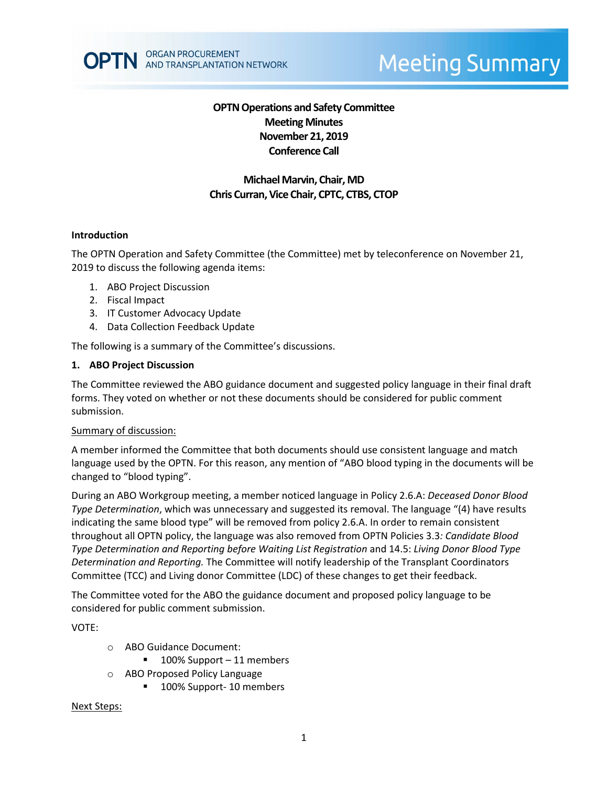

# **Meeting Summary**

## **OPTN Operations and Safety Committee Meeting Minutes November 21, 2019 Conference Call**

# **Michael Marvin, Chair, MD Chris Curran, Vice Chair, CPTC, CTBS, CTOP**

#### **Introduction**

The OPTN Operation and Safety Committee (the Committee) met by teleconference on November 21, 2019 to discuss the following agenda items:

- 1. ABO Project Discussion
- 2. Fiscal Impact
- 3. IT Customer Advocacy Update
- 4. Data Collection Feedback Update

The following is a summary of the Committee's discussions.

#### **1. ABO Project Discussion**

The Committee reviewed the ABO guidance document and suggested policy language in their final draft forms. They voted on whether or not these documents should be considered for public comment submission.

#### Summary of discussion:

A member informed the Committee that both documents should use consistent language and match language used by the OPTN. For this reason, any mention of "ABO blood typing in the documents will be changed to "blood typing".

During an ABO Workgroup meeting, a member noticed language in Policy 2.6.A: *Deceased Donor Blood Type Determination*, which was unnecessary and suggested its removal. The language "(4) have results indicating the same blood type" will be removed from policy 2.6.A. In order to remain consistent throughout all OPTN policy, the language was also removed from OPTN Policies 3.3*: Candidate Blood Type Determination and Reporting before Waiting List Registration* and 14.5: *Living Donor Blood Type Determination and Reporting.* The Committee will notify leadership of the Transplant Coordinators Committee (TCC) and Living donor Committee (LDC) of these changes to get their feedback.

The Committee voted for the ABO the guidance document and proposed policy language to be considered for public comment submission.

VOTE:

- o ABO Guidance Document:
	- 100% Support 11 members
- o ABO Proposed Policy Language
	- 100% Support- 10 members

Next Steps: